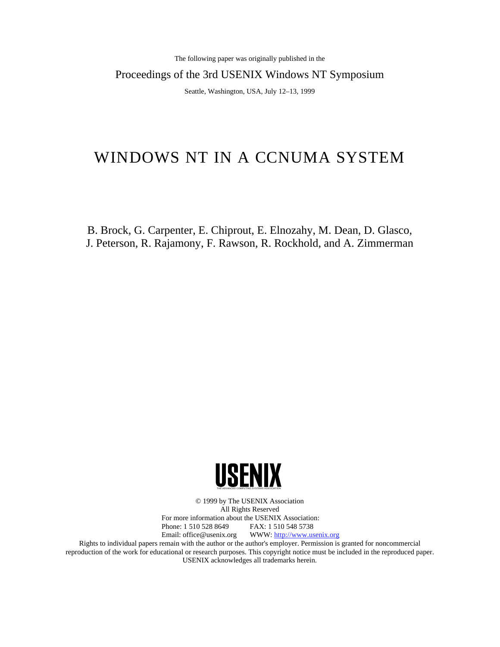The following paper was originally published in the

Proceedings of the 3rd USENIX Windows NT Symposium

Seattle, Washington, USA, July 12–13, 1999

# WINDOWS NT IN A CCNUMA SYSTEM

B. Brock, G. Carpenter, E. Chiprout, E. Elnozahy, M. Dean, D. Glasco, J. Peterson, R. Rajamony, F. Rawson, R. Rockhold, and A. Zimmerman



© 1999 by The USENIX Association All Rights Reserved For more information about the USENIX Association:<br>Phone: 1 510 528 8649 FAX: 1 510 548 5738 Phone: 1 510 528 8649 Email: office@usenix.org WWW: http://www.usenix.org

Rights to individual papers remain with the author or the author's employer. Permission is granted for noncommercial reproduction of the work for educational or research purposes. This copyright notice must be included in the reproduced paper. USENIX acknowledges all trademarks herein.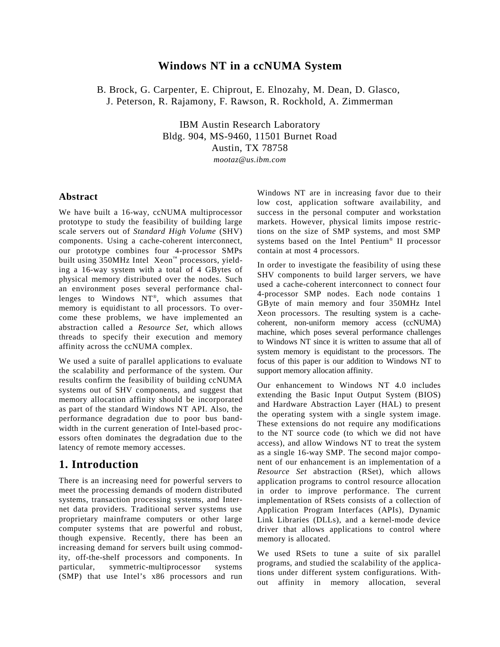## **Windows NT in a ccNUMA System**

B. Brock, G. Carpenter, E. Chiprout, E. Elnozahy, M. Dean, D. Glasco, J. Peterson, R. Rajamony, F. Rawson, R. Rockhold, A. Zimmerman

> IBM Austin Research Laboratory Bldg. 904, MS-9460, 11501 Burnet Road Austin, TX 78758

*mootaz@us.ibm.com*

#### **Abstract**

We have built a 16-way, ccNUMA multiprocessor prototype to study the feasibility of building large scale servers out of *Standard High Volume* (SHV) components. Using a cache-coherent interconnect, our prototype combines four 4-processor SMPs built using 350MHz Intel Xeon™ processors, yielding a 16-way system with a total of 4 GBytes of physical memory distributed over the nodes. Such an environment poses several performance challenges to Windows NT®, which assumes that memory is equidistant to all processors. To overcome these problems, we have implemented an abstraction called a *Resource Set*, which allows threads to specify their execution and memory affinity across the ccNUMA complex.

We used a suite of parallel applications to evaluate the scalability and performance of the system. Our results confirm the feasibility of building ccNUMA systems out of SHV components, and suggest that memory allocation affinity should be incorporated as part of the standard Windows NT API. Also, the performance degradation due to poor bus bandwidth in the current generation of Intel-based processors often dominates the degradation due to the latency of remote memory accesses.

## **1. Introduction**

There is an increasing need for powerful servers to meet the processing demands of modern distributed systems, transaction processing systems, and Internet data providers. Traditional server systems use proprietary mainframe computers or other large computer systems that are powerful and robust, though expensive. Recently, there has been an increasing demand for servers built using commodity, off-the-shelf processors and components. In particular, symmetric-multiprocessor systems (SMP) that use Intel's x86 processors and run Windows NT are in increasing favor due to their low cost, application software availability, and success in the personal computer and workstation markets. However, physical limits impose restrictions on the size of SMP systems, and most SMP systems based on the Intel Pentium® II processor contain at most 4 processors.

In order to investigate the feasibility of using these SHV components to build larger servers, we have used a cache-coherent interconnect to connect four 4-processor SMP nodes. Each node contains 1 GByte of main memory and four 350MHz Intel Xeon processors. The resulting system is a cachecoherent, non-uniform memory access (ccNUMA) machine, which poses several performance challenges to Windows NT since it is written to assume that all of system memory is equidistant to the processors. The focus of this paper is our addition to Windows NT to support memory allocation affinity.

Our enhancement to Windows NT 4.0 includes extending the Basic Input Output System (BIOS) and Hardware Abstraction Layer (HAL) to present the operating system with a single system image. These extensions do not require any modifications to the NT source code (to which we did not have access), and allow Windows NT to treat the system as a single 16-way SMP. The second major component of our enhancement is an implementation of a *Resource Set* abstraction (RSet), which allows application programs to control resource allocation in order to improve performance. The current implementation of RSets consists of a collection of Application Program Interfaces (APIs), Dynamic Link Libraries (DLLs), and a kernel-mode device driver that allows applications to control where memory is allocated.

We used RSets to tune a suite of six parallel programs, and studied the scalability of the applications under different system configurations. Without affinity in memory allocation, several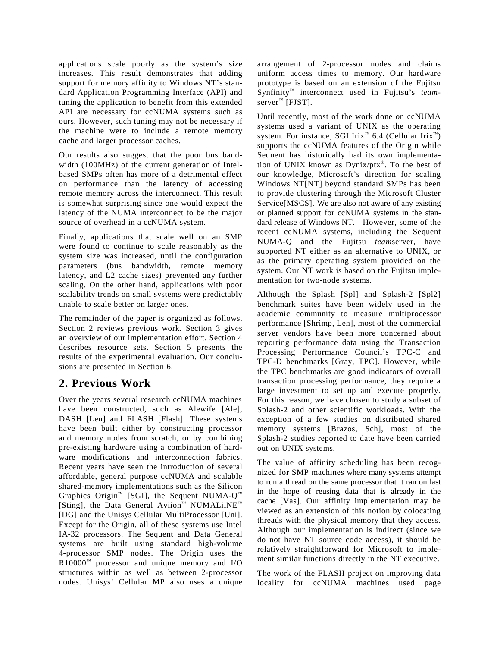applications scale poorly as the system's size increases. This result demonstrates that adding support for memory affinity to Windows NT's standard Application Programming Interface (API) and tuning the application to benefit from this extended API are necessary for ccNUMA systems such as ours. However, such tuning may not be necessary if the machine were to include a remote memory cache and larger processor caches.

Our results also suggest that the poor bus bandwidth (100MHz) of the current generation of Intelbased SMPs often has more of a detrimental effect on performance than the latency of accessing remote memory across the interconnect. This result is somewhat surprising since one would expect the latency of the NUMA interconnect to be the major source of overhead in a ccNUMA system.

Finally, applications that scale well on an SMP were found to continue to scale reasonably as the system size was increased, until the configuration parameters (bus bandwidth, remote memory latency, and L2 cache sizes) prevented any further scaling. On the other hand, applications with poor scalability trends on small systems were predictably unable to scale better on larger ones.

The remainder of the paper is organized as follows. Section 2 reviews previous work. Section 3 gives an overview of our implementation effort. Section 4 describes resource sets. Section 5 presents the results of the experimental evaluation. Our conclusions are presented in Section 6.

## **2. Previous Work**

Over the years several research ccNUMA machines have been constructed, such as Alewife [Ale], DASH [Len] and FLASH [Flash]. These systems have been built either by constructing processor and memory nodes from scratch, or by combining pre-existing hardware using a combination of hardware modifications and interconnection fabrics. Recent years have seen the introduction of several affordable, general purpose ccNUMA and scalable shared-memory implementations such as the Silicon Graphics Origin<sup>™</sup> [SGI], the Sequent NUMA- $Q^{m}$ [Sting], the Data General Aviion™ NUMALiiNE™ [DG] and the Unisys Cellular MultiProcessor [Uni]. Except for the Origin, all of these systems use Intel IA-32 processors. The Sequent and Data General systems are built using standard high-volume 4-processor SMP nodes. The Origin uses the  $R10000^m$  processor and unique memory and I/O structures within as well as between 2-processor nodes. Unisys' Cellular MP also uses a unique

arrangement of 2-processor nodes and claims uniform access times to memory. Our hardware prototype is based on an extension of the Fujitsu Synfinity™ interconnect used in Fujitsu's *team*server<sup>™</sup> [FJST].

Until recently, most of the work done on ccNUMA systems used a variant of UNIX as the operating system. For instance, SGI Irix<sup>™</sup> 6.4 (Cellular Irix<sup>™</sup>) supports the ccNUMA features of the Origin while Sequent has historically had its own implementation of UNIX known as Dynix/ptx®. To the best of our knowledge, Microsoft's direction for scaling Windows NT[NT] beyond standard SMPs has been to provide clustering through the Microsoft Cluster Service[MSCS]. We are also not aware of any existing or planned support for ccNUMA systems in the standard release of Windows NT. However, some of the recent ccNUMA systems, including the Sequent NUMA-Q and the Fujitsu *team*server, have supported NT either as an alternative to UNIX, or as the primary operating system provided on the system. Our NT work is based on the Fujitsu implementation for two-node systems.

Although the Splash [Spl] and Splash-2 [Spl2] benchmark suites have been widely used in the academic community to measure multiprocessor performance [Shrimp, Len], most of the commercial server vendors have been more concerned about reporting performance data using the Transaction Processing Performance Council's TPC-C and TPC-D benchmarks [Gray, TPC]. However, while the TPC benchmarks are good indicators of overall transaction processing performance, they require a large investment to set up and execute properly. For this reason, we have chosen to study a subset of Splash-2 and other scientific workloads. With the exception of a few studies on distributed shared memory systems [Brazos, Sch], most of the Splash-2 studies reported to date have been carried out on UNIX systems.

The value of affinity scheduling has been recognized for SMP machines where many systems attempt to run a thread on the same processor that it ran on last in the hope of reusing data that is already in the cache [Vas]. Our affinity implementation may be viewed as an extension of this notion by colocating threads with the physical memory that they access. Although our implementation is indirect (since we do not have NT source code access), it should be relatively straightforward for Microsoft to implement similar functions directly in the NT executive.

The work of the FLASH project on improving data locality for ccNUMA machines used page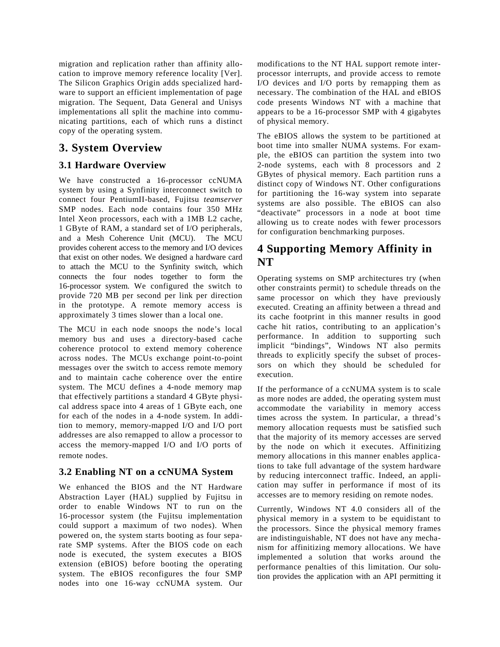migration and replication rather than affinity allocation to improve memory reference locality [Ver]. The Silicon Graphics Origin adds specialized hardware to support an efficient implementation of page migration. The Sequent, Data General and Unisys implementations all split the machine into communicating partitions, each of which runs a distinct copy of the operating system.

## **3. System Overview**

## **3.1 Hardware Overview**

We have constructed a 16-processor ccNUMA system by using a Synfinity interconnect switch to connect four PentiumII-based, Fujitsu *teamserver* SMP nodes. Each node contains four 350 MHz Intel Xeon processors, each with a 1MB L2 cache, 1 GByte of RAM, a standard set of I/O peripherals, and a Mesh Coherence Unit (MCU). The MCU provides coherent access to the memory and I/O devices that exist on other nodes. We designed a hardware card to attach the MCU to the Synfinity switch, which connects the four nodes together to form the 16-processor system. We configured the switch to provide 720 MB per second per link per direction in the prototype. A remote memory access is approximately 3 times slower than a local one.

The MCU in each node snoops the node's local memory bus and uses a directory-based cache coherence protocol to extend memory coherence across nodes. The MCUs exchange point-to-point messages over the switch to access remote memory and to maintain cache coherence over the entire system. The MCU defines a 4-node memory map that effectively partitions a standard 4 GByte physical address space into 4 areas of 1 GByte each, one for each of the nodes in a 4-node system. In addition to memory, memory-mapped I/O and I/O port addresses are also remapped to allow a processor to access the memory-mapped I/O and I/O ports of remote nodes.

## **3.2 Enabling NT on a ccNUMA System**

We enhanced the BIOS and the NT Hardware Abstraction Layer (HAL) supplied by Fujitsu in order to enable Windows NT to run on the 16-processor system (the Fujitsu implementation could support a maximum of two nodes). When powered on, the system starts booting as four separate SMP systems. After the BIOS code on each node is executed, the system executes a BIOS extension (eBIOS) before booting the operating system. The eBIOS reconfigures the four SMP nodes into one 16-way ccNUMA system. Our modifications to the NT HAL support remote interprocessor interrupts, and provide access to remote I/O devices and I/O ports by remapping them as necessary. The combination of the HAL and eBIOS code presents Windows NT with a machine that appears to be a 16-processor SMP with 4 gigabytes of physical memory.

The eBIOS allows the system to be partitioned at boot time into smaller NUMA systems. For example, the eBIOS can partition the system into two 2-node systems, each with 8 processors and 2 GBytes of physical memory. Each partition runs a distinct copy of Windows NT. Other configurations for partitioning the 16-way system into separate systems are also possible. The eBIOS can also "deactivate" processors in a node at boot time allowing us to create nodes with fewer processors for configuration benchmarking purposes.

## **4 Supporting Memory Affinity in NT**

Operating systems on SMP architectures try (when other constraints permit) to schedule threads on the same processor on which they have previously executed. Creating an affinity between a thread and its cache footprint in this manner results in good cache hit ratios, contributing to an application's performance. In addition to supporting such implicit "bindings", Windows NT also permits threads to explicitly specify the subset of processors on which they should be scheduled for execution.

If the performance of a ccNUMA system is to scale as more nodes are added, the operating system must accommodate the variability in memory access times across the system. In particular, a thread's memory allocation requests must be satisfied such that the majority of its memory accesses are served by the node on which it executes. Affinitizing memory allocations in this manner enables applications to take full advantage of the system hardware by reducing interconnect traffic. Indeed, an application may suffer in performance if most of its accesses are to memory residing on remote nodes.

Currently, Windows NT 4.0 considers all of the physical memory in a system to be equidistant to the processors. Since the physical memory frames are indistinguishable, NT does not have any mechanism for affinitizing memory allocations. We have implemented a solution that works around the performance penalties of this limitation. Our solution provides the application with an API permitting it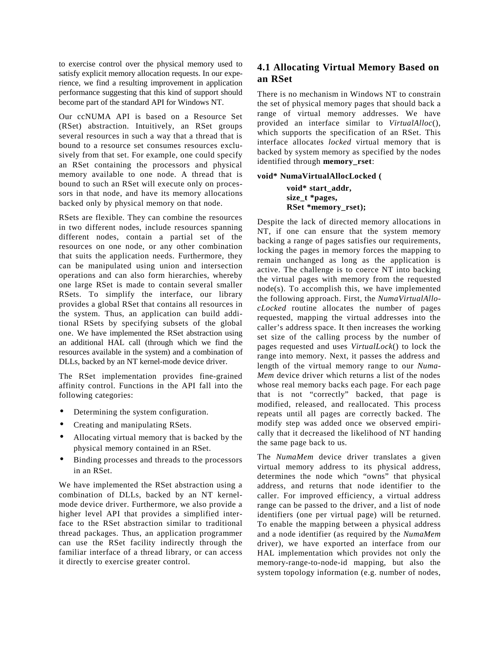to exercise control over the physical memory used to satisfy explicit memory allocation requests. In our experience, we find a resulting improvement in application performance suggesting that this kind of support should become part of the standard API for Windows NT.

Our ccNUMA API is based on a Resource Set (RSet) abstraction. Intuitively, an RSet groups several resources in such a way that a thread that is bound to a resource set consumes resources exclusively from that set. For example, one could specify an RSet containing the processors and physical memory available to one node. A thread that is bound to such an RSet will execute only on processors in that node, and have its memory allocations backed only by physical memory on that node.

RSets are flexible. They can combine the resources in two different nodes, include resources spanning different nodes, contain a partial set of the resources on one node, or any other combination that suits the application needs. Furthermore, they can be manipulated using union and intersection operations and can also form hierarchies, whereby one large RSet is made to contain several smaller RSets. To simplify the interface, our library provides a global RSet that contains all resources in the system. Thus, an application can build additional RSets by specifying subsets of the global one. We have implemented the RSet abstraction using an additional HAL call (through which we find the resources available in the system) and a combination of DLLs, backed by an NT kernel-mode device driver.

The RSet implementation provides fine-grained affinity control. Functions in the API fall into the following categories:

- Determining the system configuration.
- Creating and manipulating RSets.
- Allocating virtual memory that is backed by the physical memory contained in an RSet.
- Binding processes and threads to the processors in an RSet.

We have implemented the RSet abstraction using a combination of DLLs, backed by an NT kernelmode device driver. Furthermore, we also provide a higher level API that provides a simplified interface to the RSet abstraction similar to traditional thread packages. Thus, an application programmer can use the RSet facility indirectly through the familiar interface of a thread library, or can access it directly to exercise greater control.

### **4.1 Allocating Virtual Memory Based on an RSet**

There is no mechanism in Windows NT to constrain the set of physical memory pages that should back a range of virtual memory addresses. We have provided an interface similar to *VirtualAlloc*(), which supports the specification of an RSet. This interface allocates *locked* virtual memory that is backed by system memory as specified by the nodes identified through **memory\_rset**:

#### **void\* NumaVirtualAllocLocked (**

**void\* start\_addr, size\_t \*pages, RSet \*memory\_rset);**

Despite the lack of directed memory allocations in NT, if one can ensure that the system memory backing a range of pages satisfies our requirements, locking the pages in memory forces the mapping to remain unchanged as long as the application is active. The challenge is to coerce NT into backing the virtual pages with memory from the requested node(s). To accomplish this, we have implemented the following approach. First, the *NumaVirtualAllocLocked* routine allocates the number of pages requested, mapping the virtual addresses into the caller's address space. It then increases the working set size of the calling process by the number of pages requested and uses *VirtualLock*() to lock the range into memory. Next, it passes the address and length of the virtual memory range to our *Numa-Mem* device driver which returns a list of the nodes whose real memory backs each page. For each page that is not "correctly" backed, that page is modified, released, and reallocated. This process repeats until all pages are correctly backed. The modify step was added once we observed empirically that it decreased the likelihood of NT handing the same page back to us.

The *NumaMem* device driver translates a given virtual memory address to its physical address, determines the node which "owns" that physical address, and returns that node identifier to the caller. For improved efficiency, a virtual address range can be passed to the driver, and a list of node identifiers (one per virtual page) will be returned. To enable the mapping between a physical address and a node identifier (as required by the *NumaMem* driver), we have exported an interface from our HAL implementation which provides not only the memory-range-to-node-id mapping, but also the system topology information (e.g. number of nodes,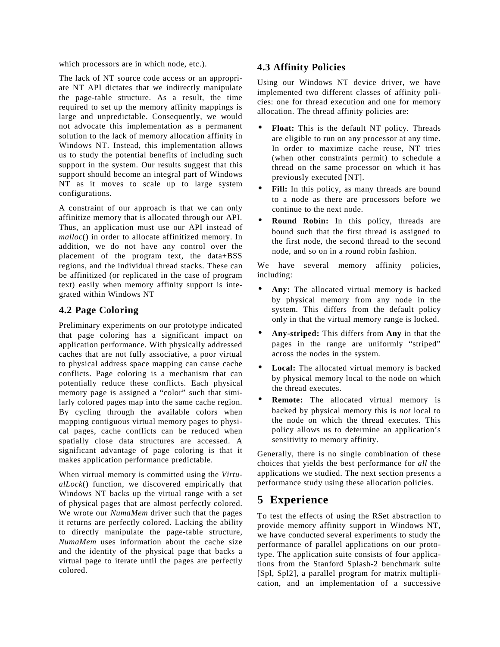which processors are in which node, etc.).

The lack of NT source code access or an appropriate NT API dictates that we indirectly manipulate the page-table structure. As a result, the time required to set up the memory affinity mappings is large and unpredictable. Consequently, we would not advocate this implementation as a permanent solution to the lack of memory allocation affinity in Windows NT. Instead, this implementation allows us to study the potential benefits of including such support in the system. Our results suggest that this support should become an integral part of Windows NT as it moves to scale up to large system configurations.

A constraint of our approach is that we can only affinitize memory that is allocated through our API. Thus, an application must use our API instead of *malloc*() in order to allocate affinitized memory. In addition, we do not have any control over the placement of the program text, the data+BSS regions, and the individual thread stacks. These can be affinitized (or replicated in the case of program text) easily when memory affinity support is integrated within Windows NT

### **4.2 Page Coloring**

Preliminary experiments on our prototype indicated that page coloring has a significant impact on application performance. With physically addressed caches that are not fully associative, a poor virtual to physical address space mapping can cause cache conflicts. Page coloring is a mechanism that can potentially reduce these conflicts. Each physical memory page is assigned a "color" such that similarly colored pages map into the same cache region. By cycling through the available colors when mapping contiguous virtual memory pages to physical pages, cache conflicts can be reduced when spatially close data structures are accessed. A significant advantage of page coloring is that it makes application performance predictable.

When virtual memory is committed using the *VirtualLock*() function, we discovered empirically that Windows NT backs up the virtual range with a set of physical pages that are almost perfectly colored. We wrote our *NumaMem* driver such that the pages it returns are perfectly colored. Lacking the ability to directly manipulate the page-table structure, *NumaMem* uses information about the cache size and the identity of the physical page that backs a virtual page to iterate until the pages are perfectly colored.

### **4.3 Affinity Policies**

Using our Windows NT device driver, we have implemented two different classes of affinity policies: one for thread execution and one for memory allocation. The thread affinity policies are:

- **Float:** This is the default NT policy. Threads are eligible to run on any processor at any time. In order to maximize cache reuse, NT tries (when other constraints permit) to schedule a thread on the same processor on which it has previously executed [NT].
- Fill: In this policy, as many threads are bound to a node as there are processors before we continue to the next node.
- **Round Robin:** In this policy, threads are bound such that the first thread is assigned to the first node, the second thread to the second node, and so on in a round robin fashion.

We have several memory affinity policies, including:

- Any: The allocated virtual memory is backed by physical memory from any node in the system. This differs from the default policy only in that the virtual memory range is locked.
- **Any-striped:** This differs from **Any** in that the pages in the range are uniformly "striped" across the nodes in the system.
- Local: The allocated virtual memory is backed by physical memory local to the node on which the thread executes.
- **Remote:** The allocated virtual memory is backed by physical memory this is *not* local to the node on which the thread executes. This policy allows us to determine an application's sensitivity to memory affinity.

Generally, there is no single combination of these choices that yields the best performance for *all* the applications we studied. The next section presents a performance study using these allocation policies.

## **5 Experience**

To test the effects of using the RSet abstraction to provide memory affinity support in Windows NT, we have conducted several experiments to study the performance of parallel applications on our prototype. The application suite consists of four applications from the Stanford Splash-2 benchmark suite [Spl, Spl2], a parallel program for matrix multiplication, and an implementation of a successive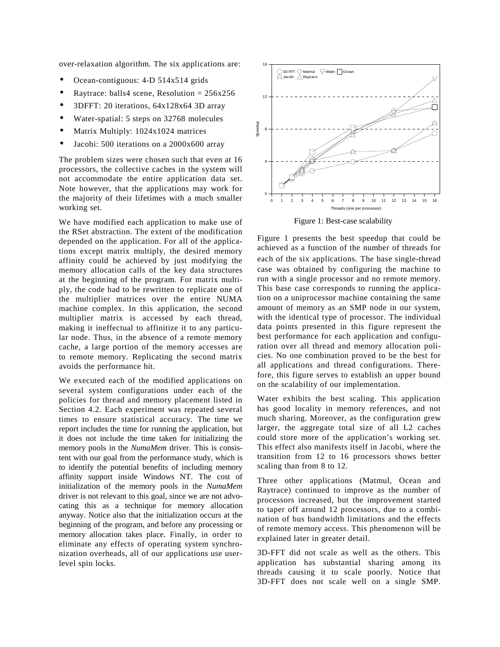over-relaxation algorithm. The six applications are:

- Ocean-contiguous: 4-D 514x514 grids
- Raytrace: balls4 scene, Resolution =  $256x256$
- 3DFFT: 20 iterations, 64x128x64 3D array
- Water-spatial: 5 steps on 32768 molecules
- Matrix Multiply: 1024x1024 matrices
- Jacobi: 500 iterations on a 2000x600 array

The problem sizes were chosen such that even at 16 processors, the collective caches in the system will not accommodate the entire application data set. Note however, that the applications may work for the majority of their lifetimes with a much smaller working set.

We have modified each application to make use of the RSet abstraction. The extent of the modification depended on the application. For all of the applications except matrix multiply, the desired memory affinity could be achieved by just modifying the memory allocation calls of the key data structures at the beginning of the program. For matrix multiply, the code had to be rewritten to replicate one of the multiplier matrices over the entire NUMA machine complex. In this application, the second multiplier matrix is accessed by each thread, making it ineffectual to affinitize it to any particular node. Thus, in the absence of a remote memory cache, a large portion of the memory accesses are to remote memory. Replicating the second matrix avoids the performance hit.

We executed each of the modified applications on several system configurations under each of the policies for thread and memory placement listed in Section 4.2. Each experiment was repeated several times to ensure statistical accuracy. The time we report includes the time for running the application, but it does not include the time taken for initializing the memory pools in the *NumaMem* driver. This is consistent with our goal from the performance study, which is to identify the potential benefits of including memory affinity support inside Windows NT. The cost of initialization of the memory pools in the *NumaMem* driver is not relevant to this goal, since we are not advocating this as a technique for memory allocation anyway. Notice also that the initialization occurs at the beginning of the program, and before any processing or memory allocation takes place. Finally, in order to eliminate any effects of operating system synchronization overheads, all of our applications use userlevel spin locks.



Figure 1: Best-case scalability

Figure 1 presents the best speedup that could be achieved as a function of the number of threads for each of the six applications. The base single-thread case was obtained by configuring the machine to run with a single processor and no remote memory. This base case corresponds to running the application on a uniprocessor machine containing the same amount of memory as an SMP node in our system, with the identical type of processor. The individual data points presented in this figure represent the best performance for each application and configuration over all thread and memory allocation policies. No one combination proved to be the best for all applications and thread configurations. Therefore, this figure serves to establish an upper bound on the scalability of our implementation.

Water exhibits the best scaling. This application has good locality in memory references, and not much sharing. Moreover, as the configuration grew larger, the aggregate total size of all L2 caches could store more of the application's working set. This effect also manifests itself in Jacobi, where the transition from 12 to 16 processors shows better scaling than from 8 to 12.

Three other applications (Matmul, Ocean and Raytrace) continued to improve as the number of processors increased, but the improvement started to taper off around 12 processors, due to a combination of bus bandwidth limitations and the effects of remote memory access. This phenomenon will be explained later in greater detail.

3D-FFT did not scale as well as the others. This application has substantial sharing among its threads causing it to scale poorly. Notice that 3D-FFT does not scale well on a single SMP.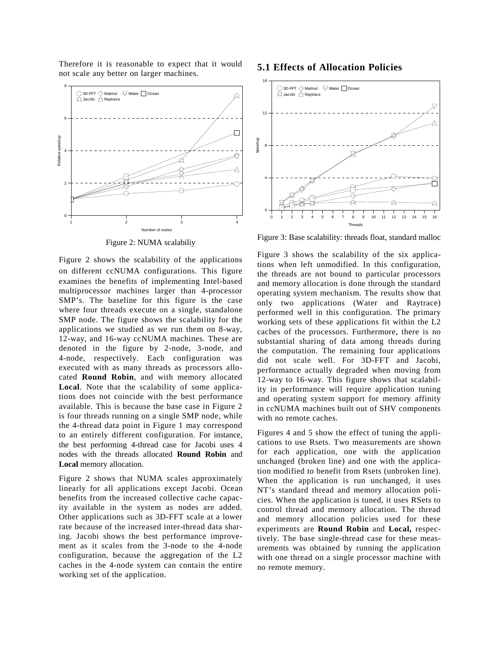Therefore it is reasonable to expect that it would not scale any better on larger machines.



Figure 2: NUMA scalabiliy

Figure 2 shows the scalability of the applications on different ccNUMA configurations. This figure examines the benefits of implementing Intel-based multiprocessor machines larger than 4-processor SMP's. The baseline for this figure is the case where four threads execute on a single, standalone SMP node. The figure shows the scalability for the applications we studied as we run them on 8-way, 12-way, and 16-way ccNUMA machines. These are denoted in the figure by 2-node, 3-node, and 4-node, respectively. Each configuration was executed with as many threads as processors allocated **Round Robin**, and with memory allocated **Local**. Note that the scalability of some applications does not coincide with the best performance available. This is because the base case in Figure 2 is four threads running on a single SMP node, while the 4-thread data point in Figure 1 may correspond to an entirely different configuration. For instance, the best performing 4-thread case for Jacobi uses 4 nodes with the threads allocated **Round Robin** and **Local** memory allocation.

Figure 2 shows that NUMA scales approximately linearly for all applications except Jacobi. Ocean benefits from the increased collective cache capacity available in the system as nodes are added. Other applications such as 3D-FFT scale at a lower rate because of the increased inter-thread data sharing. Jacobi shows the best performance improvement as it scales from the 3-node to the 4-node configuration, because the aggregation of the L2 caches in the 4-node system can contain the entire working set of the application.

#### **5.1 Effects of Allocation Policies**



Figure 3: Base scalability: threads float, standard malloc

Figure 3 shows the scalability of the six applications when left unmodified. In this configuration, the threads are not bound to particular processors and memory allocation is done through the standard operating system mechanism. The results show that only two applications (Water and Raytrace) performed well in this configuration. The primary working sets of these applications fit within the L2 caches of the processors. Furthermore, there is no substantial sharing of data among threads during the computation. The remaining four applications did not scale well. For 3D-FFT and Jacobi, performance actually degraded when moving from 12-way to 16-way. This figure shows that scalability in performance will require application tuning and operating system support for memory affinity in ccNUMA machines built out of SHV components with no remote caches.

Figures 4 and 5 show the effect of tuning the applications to use Rsets. Two measurements are shown for each application, one with the application unchanged (broken line) and one with the application modified to benefit from Rsets (unbroken line). When the application is run unchanged, it uses NT's standard thread and memory allocation policies. When the application is tuned, it uses RSets to control thread and memory allocation. The thread and memory allocation policies used for these experiments are **Round Robin** and **Local,** respectively. The base single-thread case for these measurements was obtained by running the application with one thread on a single processor machine with no remote memory.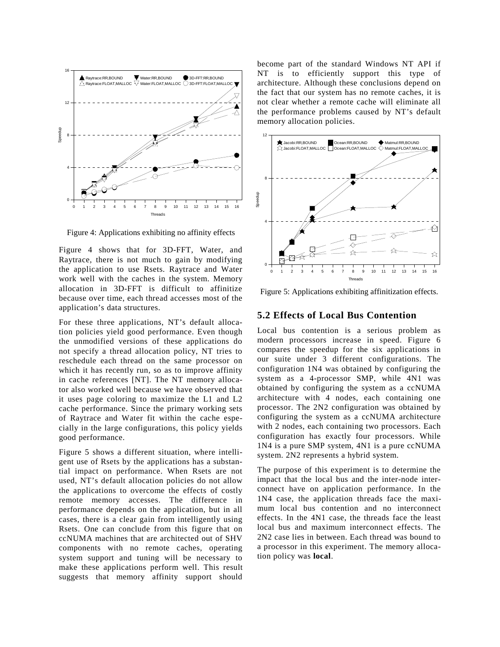

Figure 4: Applications exhibiting no affinity effects

Figure 4 shows that for 3D-FFT, Water, and Raytrace, there is not much to gain by modifying the application to use Rsets. Raytrace and Water work well with the caches in the system. Memory allocation in 3D-FFT is difficult to affinitize because over time, each thread accesses most of the application's data structures.

For these three applications, NT's default allocation policies yield good performance. Even though the unmodified versions of these applications do not specify a thread allocation policy, NT tries to reschedule each thread on the same processor on which it has recently run, so as to improve affinity in cache references [NT]. The NT memory allocator also worked well because we have observed that it uses page coloring to maximize the L1 and L2 cache performance. Since the primary working sets of Raytrace and Water fit within the cache especially in the large configurations, this policy yields good performance.

Figure 5 shows a different situation, where intelligent use of Rsets by the applications has a substantial impact on performance. When Rsets are not used, NT's default allocation policies do not allow the applications to overcome the effects of costly remote memory accesses. The difference in performance depends on the application, but in all cases, there is a clear gain from intelligently using Rsets. One can conclude from this figure that on ccNUMA machines that are architected out of SHV components with no remote caches, operating system support and tuning will be necessary to make these applications perform well. This result suggests that memory affinity support should

become part of the standard Windows NT API if NT is to efficiently support this type of architecture. Although these conclusions depend on the fact that our system has no remote caches, it is not clear whether a remote cache will eliminate all the performance problems caused by NT's default memory allocation policies.



Figure 5: Applications exhibiting affinitization effects.

#### **5.2 Effects of Local Bus Contention**

Local bus contention is a serious problem as modern processors increase in speed. Figure 6 compares the speedup for the six applications in our suite under 3 different configurations. The configuration 1N4 was obtained by configuring the system as a 4-processor SMP, while 4N1 was obtained by configuring the system as a ccNUMA architecture with 4 nodes, each containing one processor. The 2N2 configuration was obtained by configuring the system as a ccNUMA architecture with 2 nodes, each containing two processors. Each configuration has exactly four processors. While 1N4 is a pure SMP system, 4N1 is a pure ccNUMA system. 2N2 represents a hybrid system.

The purpose of this experiment is to determine the impact that the local bus and the inter-node interconnect have on application performance. In the 1N4 case, the application threads face the maximum local bus contention and no interconnect effects. In the 4N1 case, the threads face the least local bus and maximum interconnect effects. The 2N2 case lies in between. Each thread was bound to a processor in this experiment. The memory allocation policy was **local**.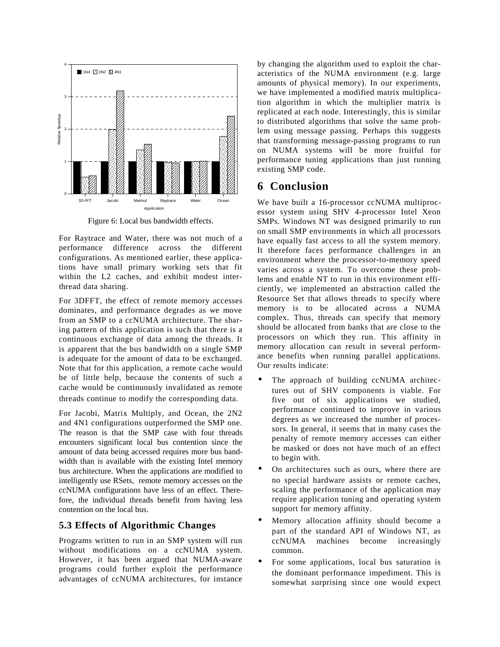

Figure 6: Local bus bandwidth effects.

For Raytrace and Water, there was not much of a performance difference across the different configurations. As mentioned earlier, these applications have small primary working sets that fit within the L2 caches, and exhibit modest interthread data sharing.

For 3DFFT, the effect of remote memory accesses dominates, and performance degrades as we move from an SMP to a ccNUMA architecture. The sharing pattern of this application is such that there is a continuous exchange of data among the threads. It is apparent that the bus bandwidth on a single SMP is adequate for the amount of data to be exchanged. Note that for this application, a remote cache would be of little help, because the contents of such a cache would be continuously invalidated as remote threads continue to modify the corresponding data.

For Jacobi, Matrix Multiply, and Ocean, the 2N2 and 4N1 configurations outperformed the SMP one. The reason is that the SMP case with four threads encounters significant local bus contention since the amount of data being accessed requires more bus bandwidth than is available with the existing Intel memory bus architecture. When the applications are modified to intelligently use RSets, remote memory accesses on the ccNUMA configurations have less of an effect. Therefore, the individual threads benefit from having less contention on the local bus.

### **5.3 Effects of Algorithmic Changes**

Programs written to run in an SMP system will run without modifications on a ccNUMA system. However, it has been argued that NUMA-aware programs could further exploit the performance advantages of ccNUMA architectures, for instance by changing the algorithm used to exploit the characteristics of the NUMA environment (e.g. large amounts of physical memory). In our experiments, we have implemented a modified matrix multiplication algorithm in which the multiplier matrix is replicated at each node. Interestingly, this is similar to distributed algorithms that solve the same problem using message passing. Perhaps this suggests that transforming message-passing programs to run on NUMA systems will be more fruitful for performance tuning applications than just running existing SMP code.

## **6 Conclusion**

We have built a 16-processor ccNUMA multiprocessor system using SHV 4-processor Intel Xeon SMPs. Windows NT was designed primarily to run on small SMP environments in which all processors have equally fast access to all the system memory. It therefore faces performance challenges in an environment where the processor-to-memory speed varies across a system. To overcome these problems and enable NT to run in this environment efficiently, we implemented an abstraction called the Resource Set that allows threads to specify where memory is to be allocated across a NUMA complex. Thus, threads can specify that memory should be allocated from banks that are close to the processors on which they run. This affinity in memory allocation can result in several performance benefits when running parallel applications. Our results indicate:

- The approach of building ccNUMA architectures out of SHV components is viable. For five out of six applications we studied, performance continued to improve in various degrees as we increased the number of processors. In general, it seems that in many cases the penalty of remote memory accesses can either be masked or does not have much of an effect to begin with.
- On architectures such as ours, where there are no special hardware assists or remote caches, scaling the performance of the application may require application tuning and operating system support for memory affinity.
- Memory allocation affinity should become a part of the standard API of Windows NT, as ccNUMA machines become increasingly common.
- For some applications, local bus saturation is the dominant performance impediment. This is somewhat surprising since one would expect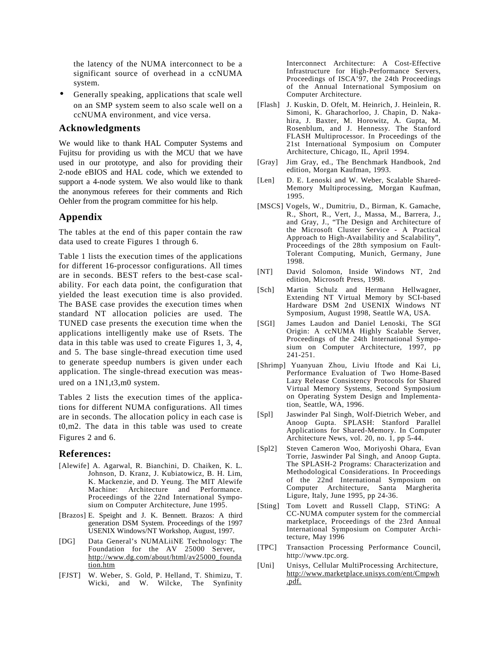the latency of the NUMA interconnect to be a significant source of overhead in a ccNUMA system.

Generally speaking, applications that scale well on an SMP system seem to also scale well on a ccNUMA environment, and vice versa.

#### **Acknowledgments**

We would like to thank HAL Computer Systems and Fujitsu for providing us with the MCU that we have used in our prototype, and also for providing their 2-node eBIOS and HAL code, which we extended to support a 4-node system. We also would like to thank the anonymous referees for their comments and Rich Oehler from the program committee for his help.

#### **Appendix**

The tables at the end of this paper contain the raw data used to create Figures 1 through 6.

Table 1 lists the execution times of the applications for different 16-processor configurations. All times are in seconds. BEST refers to the best-case scalability. For each data point, the configuration that yielded the least execution time is also provided. The BASE case provides the execution times when standard NT allocation policies are used. The TUNED case presents the execution time when the applications intelligently make use of Rsets. The data in this table was used to create Figures 1, 3, 4, and 5. The base single-thread execution time used to generate speedup numbers is given under each application. The single-thread execution was measured on a 1N1,t3,m0 system.

Tables 2 lists the execution times of the applications for different NUMA configurations. All times are in seconds. The allocation policy in each case is t0,m2. The data in this table was used to create Figures 2 and 6.

#### **References:**

- [Alewife] A. Agarwal, R. Bianchini, D. Chaiken, K. L. Johnson, D. Kranz, J. Kubiatowicz, B. H. Lim, K. Mackenzie, and D. Yeung. The MIT Alewife Machine: Architecture and Performance. Proceedings of the 22nd International Symposium on Computer Architecture, June 1995.
- [Brazos] E. Speight and J. K. Bennett. Brazos: A third generation DSM System. Proceedings of the 1997 USENIX Windows/NT Workshop, August, 1997.
- [DG] Data General's NUMALiiNE Technology: The Foundation for the AV 25000 Server, http://www.dg.com/about/html/av25000\_founda tion.htm
- [FJST] W. Weber, S. Gold, P. Helland, T. Shimizu, T. Wicki, and W. Wilcke, The Synfinity

Interconnect Architecture: A Cost-Effective Infrastructure for High-Performance Servers, Proceedings of ISCA'97, the 24th Proceedings of the Annual International Symposium on Computer Architecture.

- [Flash] J. Kuskin, D. Ofelt, M. Heinrich, J. Heinlein, R. Simoni, K. Gharachorloo, J. Chapin, D. Nakahira, J. Baxter, M. Horowitz, A. Gupta, M. Rosenblum, and J. Hennessy. The Stanford FLASH Multiprocessor. In Proceedings of the 21st International Symposium on Computer Architecture, Chicago, IL, April 1994.
- [Gray] Jim Gray, ed., The Benchmark Handbook, 2nd edition, Morgan Kaufman, 1993.
- [Len] D. E. Lenoski and W. Weber, Scalable Shared-Memory Multiprocessing, Morgan Kaufman, 1995.
- [MSCS] Vogels, W., Dumitriu, D., Birman, K. Gamache, R., Short, R., Vert, J., Massa, M., Barrera, J., and Gray, J., "The Design and Architecture of the Microsoft Cluster Service - A Practical Approach to High-Availability and Scalability", Proceedings of the 28th symposium on Fault-Tolerant Computing, Munich, Germany, June 1998.
- [NT] David Solomon, Inside Windows NT, 2nd edition, Microsoft Press, 1998.
- [Sch] Martin Schulz and Hermann Hellwagner, Extending NT Virtual Memory by SCI-based Hardware DSM 2nd USENIX Windows NT Symposium, August 1998, Seattle WA, USA.
- [SGI] James Laudon and Daniel Lenoski, The SGI Origin: A ccNUMA Highly Scalable Server, Proceedings of the 24th International Symposium on Computer Architecture, 1997, pp 241-251.
- [Shrimp] Yuanyuan Zhou, Liviu Iftode and Kai Li, Performance Evaluation of Two Home-Based Lazy Release Consistency Protocols for Shared Virtual Memory Systems, Second Symposium on Operating System Design and Implementation, Seattle, WA, 1996.
- [Spl] Jaswinder Pal Singh, Wolf-Dietrich Weber, and Anoop Gupta. SPLASH: Stanford Parallel Applications for Shared-Memory. In Computer Architecture News, vol. 20, no. 1, pp 5-44.
- [Spl2] Steven Cameron Woo, Moriyoshi Ohara, Evan Torrie, Jaswinder Pal Singh, and Anoop Gupta. The SPLASH-2 Programs: Characterization and Methodological Considerations. In Proceedings of the 22nd International Symposium on Computer Architecture, Santa Margherita Ligure, Italy, June 1995, pp 24-36.
- [Sting] Tom Lovett and Russell Clapp, STiNG: A CC-NUMA computer system for the commercial marketplace, Proceedings of the 23rd Annual International Symposium on Computer Architecture, May 1996
- [TPC] Transaction Processing Performance Council, http://www.tpc.org.
- [Uni] Unisys, Cellular MultiProcessing Architecture, http://www.marketplace.unisys.com/ent/Cmpwh .pdf.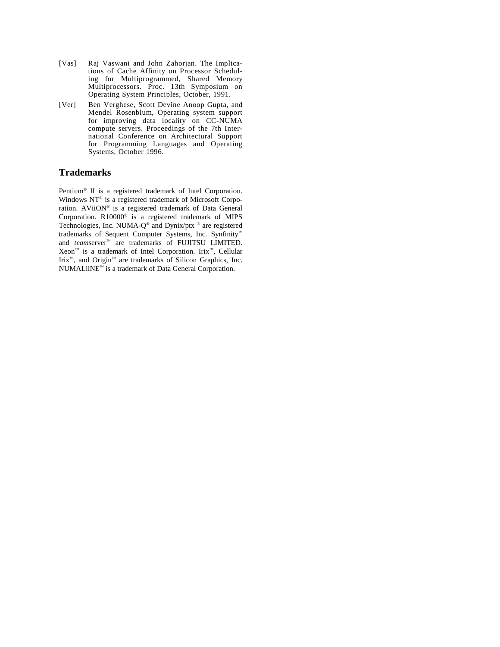- [Vas] Raj Vaswani and John Zahorjan. The Implications of Cache Affinity on Processor Scheduling for Multiprogrammed, Shared Memory Multiprocessors. Proc. 13th Symposium on Operating System Principles, October, 1991.
- [Ver] Ben Verghese, Scott Devine Anoop Gupta, and Mendel Rosenblum, Operating system support for improving data locality on CC-NUMA compute servers. Proceedings of the 7th International Conference on Architectural Support for Programming Languages and Operating Systems, October 1996.

#### **Trademarks**

Pentium® II is a registered trademark of Intel Corporation. Windows NT® is a registered trademark of Microsoft Corporation. AViiON® is a registered trademark of Data General Corporation. R10000® is a registered trademark of MIPS Technologies, Inc. NUMA-Q® and Dynix/ptx ® are registered trademarks of Sequent Computer Systems, Inc. Synfinity™ and *team*server™ are trademarks of FUJITSU LIMITED. Xeon™ is a trademark of Intel Corporation. Irix™, Cellular Irix™, and Origin™ are trademarks of Silicon Graphics, Inc. NUMALiiNE™ is a trademark of Data General Corporation.